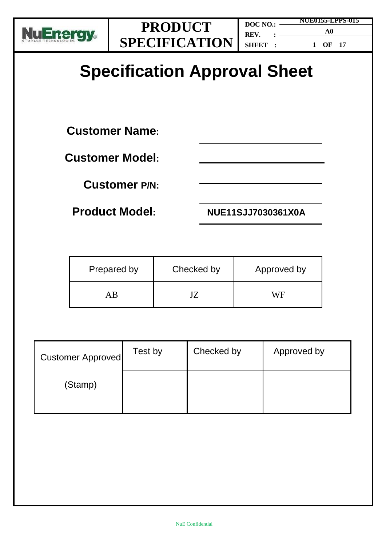

**DOC NO.: REV. : SHEET : NUE0155-LPPS-015 A0 1 OF 17**

# **Specification Approval Sheet**

**Customer Name:**

**Customer Model:**

**Customer P/N:**

**Product Model: NUE11SJJ7030361X0A**

| Prepared by | Checked by | Approved by |
|-------------|------------|-------------|
| AК          |            | WF          |

| <b>Customer Approved</b> | Test by | Checked by | Approved by |
|--------------------------|---------|------------|-------------|
| (Stamp)                  |         |            |             |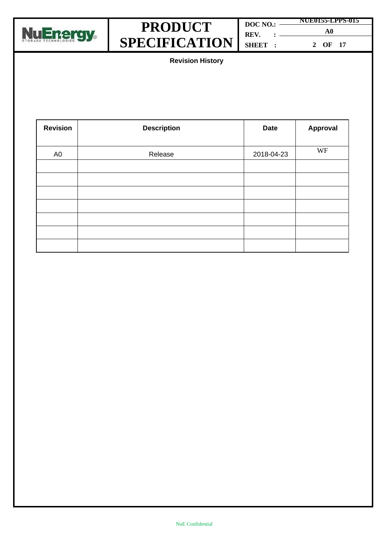

| DOC NO.:                   |  | NUE0155-LPPS-015 |  |
|----------------------------|--|------------------|--|
|                            |  | A0               |  |
| $REV.$ : $\longrightarrow$ |  |                  |  |
| SHEET :                    |  | 2 OF 17          |  |

**Revision History**

| <b>Revision</b> | <b>Description</b> | <b>Date</b> | Approval |
|-----------------|--------------------|-------------|----------|
| A <sub>0</sub>  | Release            | 2018-04-23  | WF       |
|                 |                    |             |          |
|                 |                    |             |          |
|                 |                    |             |          |
|                 |                    |             |          |
|                 |                    |             |          |
|                 |                    |             |          |
|                 |                    |             |          |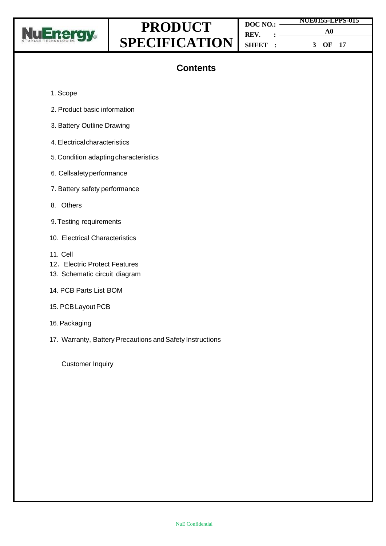

| DOC NO. | <b>NUE0155-LPPS-015</b> |  |
|---------|-------------------------|--|
|         |                         |  |
|         | A0<br>$REV.$ : —————    |  |
|         |                         |  |
| SHEET:  | 3 OF 17                 |  |

### **Contents**

- 1. Scope
- 2. Product basic information
- 3. Battery Outline Drawing
- 4. Electricalcharacteristics
- 5. Condition adaptingcharacteristics
- 6. Cellsafetyperformance
- 7. Battery safety performance
- 8. Others
- 9. Testing requirements
- 10. Electrical Characteristics
- 11. Cell
- 12. Electric Protect Features
- 13. Schematic circuit diagram
- 14. PCB Parts List BOM
- 15. PCB Layout PCB
- 16. Packaging
- 17. Warranty, Battery Precautions and Safety Instructions

Customer Inquiry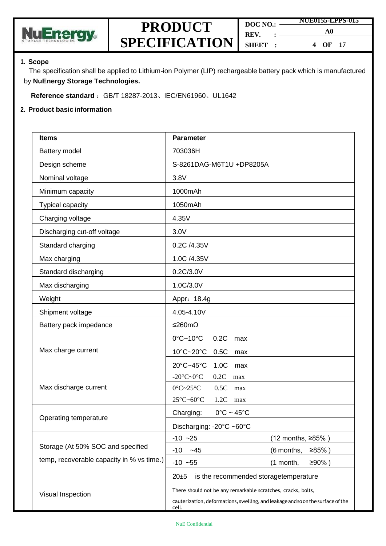

|          |  | <b>NUE0155-LPPS-015</b>    |
|----------|--|----------------------------|
| DOC NO.: |  | A0                         |
|          |  | $REV.$ : $\longrightarrow$ |
| SHEET :  |  | OF 17<br>$\Delta$          |

#### **1. Scope**

The specification shall be applied to Lithium-ion Polymer (LIP) rechargeable battery pack which is manufactured by **NuEnergy Storage Technologies.**

**Reference standard** :GB/T 18287-2013、IEC/EN61960、UL1642

#### **2. Product basic information**

| <b>Items</b>                              | <b>Parameter</b>                                                                                                                                         |                     |  |
|-------------------------------------------|----------------------------------------------------------------------------------------------------------------------------------------------------------|---------------------|--|
| Battery model                             | 703036H                                                                                                                                                  |                     |  |
| Design scheme                             | S-8261DAG-M6T1U +DP8205A                                                                                                                                 |                     |  |
| Nominal voltage                           | 3.8V                                                                                                                                                     |                     |  |
| Minimum capacity                          | 1000mAh                                                                                                                                                  |                     |  |
| Typical capacity                          | 1050mAh                                                                                                                                                  |                     |  |
| Charging voltage                          | 4.35V                                                                                                                                                    |                     |  |
| Discharging cut-off voltage               | 3.0V                                                                                                                                                     |                     |  |
| Standard charging                         | 0.2C /4.35V                                                                                                                                              |                     |  |
| Max charging                              | 1.0C /4.35V                                                                                                                                              |                     |  |
| Standard discharging                      | 0.2C/3.0V                                                                                                                                                |                     |  |
| Max discharging                           | 1.0C/3.0V                                                                                                                                                |                     |  |
| Weight                                    | Appr: 18.4g                                                                                                                                              |                     |  |
| Shipment voltage                          | 4.05-4.10V                                                                                                                                               |                     |  |
| Battery pack impedance                    | ≤260mΩ                                                                                                                                                   |                     |  |
|                                           | $0^{\circ}$ C~10 $^{\circ}$ C<br>0.2C<br>max                                                                                                             |                     |  |
| Max charge current                        | 10°C~20°C<br>0.5C<br>max                                                                                                                                 |                     |  |
|                                           | 20°C~45°C<br>1.0C<br>max                                                                                                                                 |                     |  |
|                                           | -20 $\textdegree$ C~0 $\textdegree$ C<br>0.2C<br>max                                                                                                     |                     |  |
| Max discharge current                     | $0^{\circ}$ C~25 $^{\circ}$ C<br>0.5C<br>max                                                                                                             |                     |  |
|                                           | $25^{\circ}$ C~60 $^{\circ}$ C<br>1.2C<br>max                                                                                                            |                     |  |
| Operating temperature                     | Charging:<br>$0^{\circ}$ C ~ 45 $^{\circ}$ C                                                                                                             |                     |  |
|                                           | Discharging: -20°C ~60°C                                                                                                                                 |                     |  |
| Storage (At 50% SOC and specified         | $-10$ $-25$                                                                                                                                              | (12 months, ≥85% )  |  |
| temp, recoverable capacity in % vs time.) | $-45$<br>$-10$                                                                                                                                           | (6 months,<br>≥85%) |  |
|                                           | $-10 - 55$                                                                                                                                               | ≥90%)<br>(1 month,  |  |
|                                           | is the recommended storagetemperature<br>$20 + 5$                                                                                                        |                     |  |
| Visual Inspection                         | There should not be any remarkable scratches, cracks, bolts,<br>cauterization, deformations, swelling, and leakage and so on the surface of the<br>cell. |                     |  |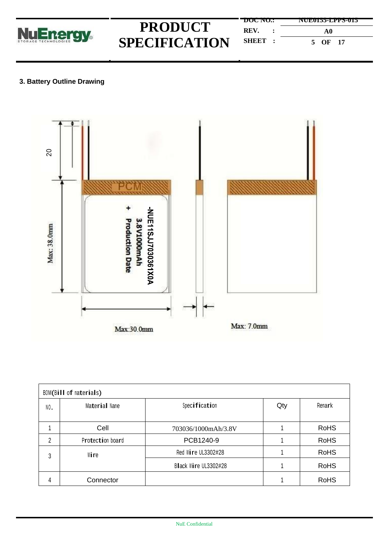

**DOC NO.: REV. : SHEET : NUE0155-LPPS-015 A0 5 OF 17**

### **3. Battery Outline Drawing**



| BOM(Bill of materials) |                  |                      |     |             |  |
|------------------------|------------------|----------------------|-----|-------------|--|
| NO.                    | Material Name    | Specification        | Qty | Remark      |  |
|                        |                  |                      |     |             |  |
|                        | Cell             | 703036/1000mAh/3.8V  |     | <b>RoHS</b> |  |
| 2                      | Protection board | PCB1240-9            |     | <b>RoHS</b> |  |
| 3                      | Wire             | Red Wire UL3302#28   |     | <b>RoHS</b> |  |
|                        |                  | Black Wire UL3302#28 |     | <b>RoHS</b> |  |
| 4                      | Connector        |                      |     | <b>RoHS</b> |  |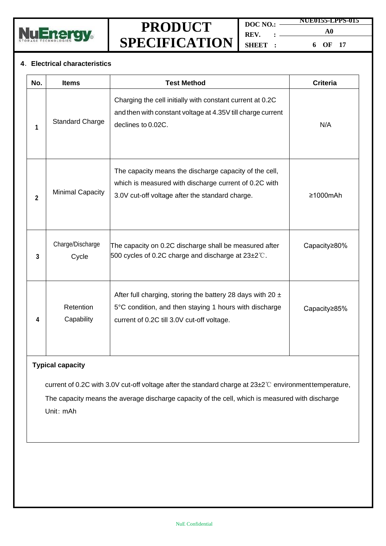

**DOC NO.: REV. : SHEET : NUE0155-LPPS-015 A0 6 OF 17**

#### **4**.**Electrical characteristics**

| No.          | <b>Items</b>              | <b>Test Method</b>                                                                                                                                                     | <b>Criteria</b> |
|--------------|---------------------------|------------------------------------------------------------------------------------------------------------------------------------------------------------------------|-----------------|
| 1            | <b>Standard Charge</b>    | Charging the cell initially with constant current at 0.2C<br>and then with constant voltage at 4.35V till charge current<br>declines to 0.02C.                         | N/A             |
| $\mathbf{2}$ | <b>Minimal Capacity</b>   | The capacity means the discharge capacity of the cell,<br>which is measured with discharge current of 0.2C with<br>3.0V cut-off voltage after the standard charge.     | $\geq 1000$ mAh |
| 3            | Charge/Discharge<br>Cycle | The capacity on 0.2C discharge shall be measured after<br>500 cycles of 0.2C charge and discharge at $23\pm2^{\circ}$ C.                                               | Capacity≥80%    |
| 4            | Retention<br>Capability   | After full charging, storing the battery 28 days with 20 $\pm$<br>5°C condition, and then staying 1 hours with discharge<br>current of 0.2C till 3.0V cut-off voltage. | Capacity≥85%    |

#### **Typical capacity**

current of 0.2C with 3.0V cut-off voltage after the standard charge at 23±2℃ environmenttemperature, The capacity means the average discharge capacity of the cell, which is measured with discharge Unit: mAh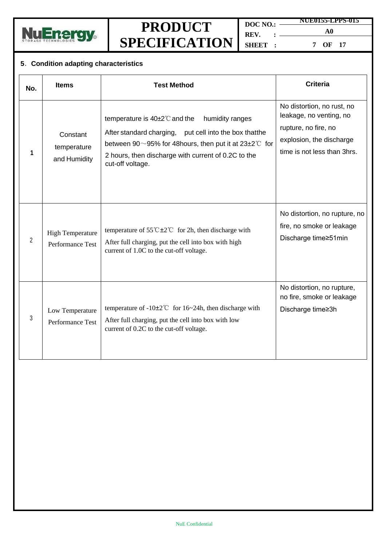

**DOC NO.: REV. : SHEET : NUE0155-LPPS-015**

**A0 7 OF 17**

### **5**.**Condition adapting characteristics**

| No.            | <b>Items</b>                                | <b>Test Method</b>                                                                                                                                                                                                                                                     | <b>Criteria</b>                                                                                                                          |
|----------------|---------------------------------------------|------------------------------------------------------------------------------------------------------------------------------------------------------------------------------------------------------------------------------------------------------------------------|------------------------------------------------------------------------------------------------------------------------------------------|
| 1              | Constant<br>temperature<br>and Humidity     | temperature is $40\pm2^{\circ}$ and the<br>humidity ranges<br>After standard charging, put cell into the box thatthe<br>between 90 $\sim$ 95% for 48 hours, then put it at 23 $\pm$ 2°C for<br>2 hours, then discharge with current of 0.2C to the<br>cut-off voltage. | No distortion, no rust, no<br>leakage, no venting, no<br>rupture, no fire, no<br>explosion, the discharge<br>time is not less than 3hrs. |
| $\overline{2}$ | <b>High Temperature</b><br>Performance Test | temperature of $55^{\circ}C \pm 2^{\circ}C$ for 2h, then discharge with<br>After full charging, put the cell into box with high<br>current of 1.0C to the cut-off voltage.                                                                                             | No distortion, no rupture, no<br>fire, no smoke or leakage<br>Discharge time≥51min                                                       |
| 3              | Low Temperature<br><b>Performance Test</b>  | temperature of $-10\pm2^{\circ}$ for 16~24h, then discharge with<br>After full charging, put the cell into box with low<br>current of 0.2C to the cut-off voltage.                                                                                                     | No distortion, no rupture,<br>no fire, smoke or leakage<br>Discharge time≥3h                                                             |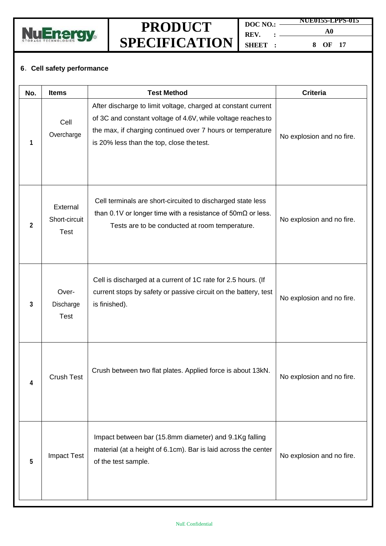

**DOC NO.: REV. : SHEET : NUE0155-LPPS-015**

**A0 8 OF 17**

### **6**.**Cell safety performance**

| No.          | <b>Items</b>                             | <b>Test Method</b>                                                                                                                                                                                                                       | <b>Criteria</b>           |
|--------------|------------------------------------------|------------------------------------------------------------------------------------------------------------------------------------------------------------------------------------------------------------------------------------------|---------------------------|
| 1            | Cell<br>Overcharge                       | After discharge to limit voltage, charged at constant current<br>of 3C and constant voltage of 4.6V, while voltage reaches to<br>the max, if charging continued over 7 hours or temperature<br>is 20% less than the top, close the test. | No explosion and no fire. |
| $\mathbf{2}$ | External<br>Short-circuit<br><b>Test</b> | Cell terminals are short-circuited to discharged state less<br>than 0.1V or longer time with a resistance of $50 \text{m}\Omega$ or less.<br>Tests are to be conducted at room temperature.                                              | No explosion and no fire. |
| 3            | Over-<br>Discharge<br><b>Test</b>        | Cell is discharged at a current of 1C rate for 2.5 hours. (If<br>current stops by safety or passive circuit on the battery, test<br>is finished).                                                                                        | No explosion and no fire. |
| 4            | <b>Crush Test</b>                        | Crush between two flat plates. Applied force is about 13kN.                                                                                                                                                                              | No explosion and no fire. |
| 5            | Impact Test                              | Impact between bar (15.8mm diameter) and 9.1Kg falling<br>material (at a height of 6.1cm). Bar is laid across the center<br>of the test sample.                                                                                          | No explosion and no fire. |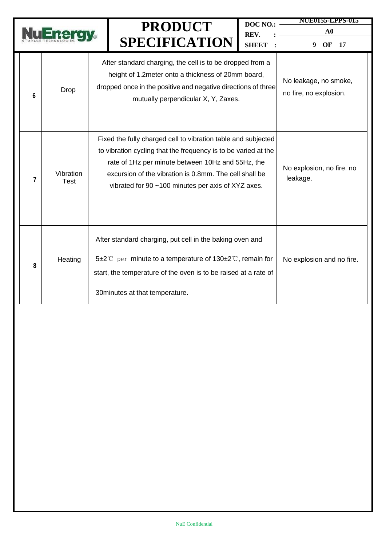|   |                          |  | <b>PRODUCT</b><br><b>SPECIFICATION</b>                                                                                                                                                                                                                                                               | DOC NO.:<br>REV.<br><b>SHEET</b> | <b>NUE0155-LPPS-015</b><br>${\bf A0}$<br>OF<br>17<br>9 |
|---|--------------------------|--|------------------------------------------------------------------------------------------------------------------------------------------------------------------------------------------------------------------------------------------------------------------------------------------------------|----------------------------------|--------------------------------------------------------|
| 6 | Drop                     |  | After standard charging, the cell is to be dropped from a<br>height of 1.2 meter onto a thickness of 20mm board,<br>dropped once in the positive and negative directions of three<br>mutually perpendicular X, Y, Zaxes.                                                                             |                                  | No leakage, no smoke,<br>no fire, no explosion.        |
| 7 | Vibration<br><b>Test</b> |  | Fixed the fully charged cell to vibration table and subjected<br>to vibration cycling that the frequency is to be varied at the<br>rate of 1Hz per minute between 10Hz and 55Hz, the<br>excursion of the vibration is 0.8mm. The cell shall be<br>vibrated for 90 ~100 minutes per axis of XYZ axes. |                                  | No explosion, no fire. no<br>leakage.                  |
| 8 | Heating                  |  | After standard charging, put cell in the baking oven and<br>5 $\pm$ 2°C per minute to a temperature of 130 $\pm$ 2°C, remain for<br>start, the temperature of the oven is to be raised at a rate of<br>30 minutes at that temperature.                                                               |                                  | No explosion and no fire.                              |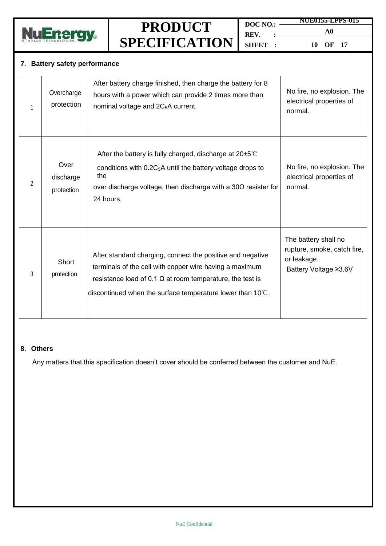

**DOC NO.: REV. : SHEET : NUE0155-LPPS-015 A0 10 OF 17**

#### **7**.**Battery safety performance**

|   | Overcharge<br>protection        | After battery charge finished, then charge the battery for 8<br>hours with a power which can provide 2 times more than<br>nominal voltage and 2C <sub>5</sub> A current.                                                                                          | No fire, no explosion. The<br>electrical properties of<br>normal.                           |
|---|---------------------------------|-------------------------------------------------------------------------------------------------------------------------------------------------------------------------------------------------------------------------------------------------------------------|---------------------------------------------------------------------------------------------|
| 2 | Over<br>discharge<br>protection | After the battery is fully charged, discharge at $20\pm5^{\circ}$<br>conditions with 0.2C <sub>5</sub> A until the battery voltage drops to<br>the<br>over discharge voltage, then discharge with a $30\Omega$ resister for<br>24 hours.                          | No fire, no explosion. The<br>electrical properties of<br>normal.                           |
| 3 | Short<br>protection             | After standard charging, connect the positive and negative<br>terminals of the cell with copper wire having a maximum<br>resistance load of 0.1 $\Omega$ at room temperature, the test is<br>discontinued when the surface temperature lower than 10 $\degree$ C. | The battery shall no<br>rupture, smoke, catch fire,<br>or leakage.<br>Battery Voltage ≥3.6V |

#### **8**.**Others**

Any matters that this specification doesn't cover should be conferred between the customer and NuE.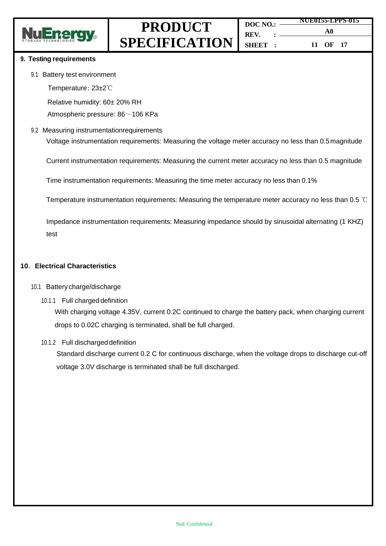

#### **9. Testing requirements**

#### 9.1 Battery test environment

Temperature: 23±2℃

Relative humidity: 60± 20% RH

Atmospheric pressure: 86~106 KPa

#### 9.2 Measuring instrumentationrequirements

Voltage instrumentation requirements: Measuring the voltage meter accuracy no less than 0.5magnitude

Current instrumentation requirements: Measuring the current meter accuracy no less than 0.5 magnitude

Time instrumentation requirements: Measuring the time meter accuracy no less than 0.1%

Temperature instrumentation requirements: Measuring the temperature meter accuracy no less than 0.5 ℃

Impedance instrumentation requirements: Measuring impedance should by sinusoidal alternating (1 KHZ) test

#### **10**.**Electrical Characteristics**

#### 10.1 Battery charge/discharge

10.1.1 Full charged definition

With charging voltage 4.35V, current 0.2C continued to charge the battery pack, when charging current drops to 0.02C charging is terminated, shall be full charged.

#### 10.1.2 Full discharged definition

Standard discharge current 0.2 C for continuous discharge, when the voltage drops to discharge cut-off voltage 3.0V discharge is terminated shall be full discharged.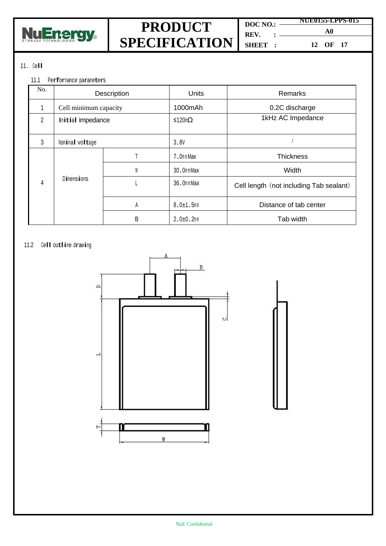

**DOC NO.: REV. : SHEET :**

**NUE0155-LPPS-015 A0 12 OF 17**

#### 11. Cell

#### 11.1 Performance parameters

| No.            | Description           |   | <b>Units</b>   | Remarks                                 |
|----------------|-----------------------|---|----------------|-----------------------------------------|
|                | Cell minimum capacity |   | 1000mAh        | 0.2C discharge                          |
| $\overline{2}$ | Initial impedance     |   | ≤120mΩ         | 1kHz AC Impedance                       |
| 3              | Nominal voltage       |   | 3.8V           |                                         |
|                | <b>Dimensions</b>     |   | 7.0mmMax       | <b>Thickness</b>                        |
|                |                       | W | 30.0mmMax      | Width                                   |
| 4              |                       |   | 36.0mmMax      | Cell length (not including Tab sealant) |
|                |                       | A | $8.0 + 1.5$ mm | Distance of tab center                  |
|                | B                     |   | $2.0 + 0.2$ mm | Tab width                               |

#### 11.2 Cell outline drawing

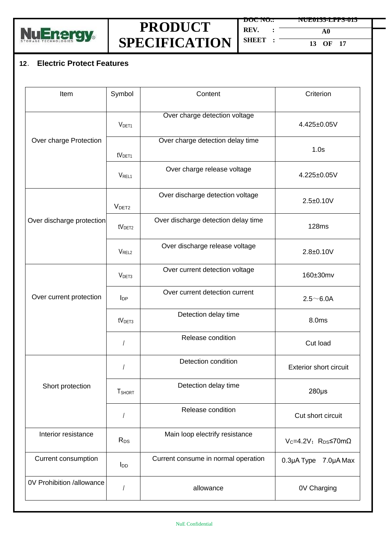

**DOC NO.: REV. : SHEET : NUE0155-LPPS-015 A0**

**13 OF 17**

#### **12**. **Electric Protect Features**

| Item                      | Symbol                 | Content                             | Criterion                                       |
|---------------------------|------------------------|-------------------------------------|-------------------------------------------------|
|                           | V <sub>DET1</sub>      | Over charge detection voltage       | 4.425±0.05V                                     |
| Over charge Protection    | tV <sub>DET1</sub>     | Over charge detection delay time    | 1.0s                                            |
|                           | V <sub>REL1</sub>      | Over charge release voltage         | 4.225±0.05V                                     |
|                           | V <sub>DET2</sub>      | Over discharge detection voltage    | $2.5 \pm 0.10 V$                                |
| Over discharge protection | tV <sub>DET2</sub>     | Over discharge detection delay time | <b>128ms</b>                                    |
|                           | V <sub>REL2</sub>      | Over discharge release voltage      | $2.8 + 0.10V$                                   |
|                           | V <sub>DET3</sub>      | Over current detection voltage      | 160±30mv                                        |
| Over current protection   | $I_{DP}$               | Over current detection current      | $2.5 - 6.0A$                                    |
|                           | tV <sub>DET3</sub>     | Detection delay time                | 8.0ms                                           |
|                           | $\sqrt{2}$             | Release condition                   | Cut load                                        |
|                           |                        | Detection condition                 | <b>Exterior short circuit</b>                   |
| Short protection          | <b>T</b> SHORT         | Detection delay time                | $280\mu s$                                      |
|                           |                        | Release condition                   | Cut short circuit                               |
| Interior resistance       | $R_{DS}$               | Main loop electrify resistance      | $V_c = 4.2V$ ; R <sub>DS</sub> $\leq 70m\Omega$ |
| Current consumption       | <b>I</b> <sub>DD</sub> | Current consume in normal operation | 0.3µA Type 7.0µA Max                            |
| 0V Prohibition /allowance | $\sqrt{2}$             | allowance                           | 0V Charging                                     |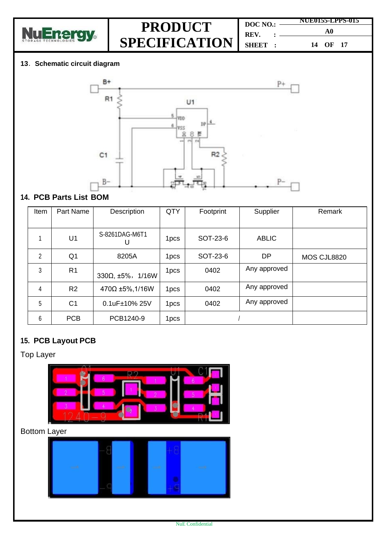

| DOC NO.:       |  | <b>NUE0155-LPPS-015</b>    |          |  |
|----------------|--|----------------------------|----------|--|
|                |  |                            | A0       |  |
|                |  | $REV.$ : $\longrightarrow$ |          |  |
| <b>SHEET</b> : |  |                            | 14 OF 17 |  |

#### **13**.**Schematic circuit diagram**



### **14. PCB Parts List BOM**

| Item           | Part Name      | Description                  | QTY              | Footprint | Supplier     | Remark      |
|----------------|----------------|------------------------------|------------------|-----------|--------------|-------------|
|                |                |                              |                  |           |              |             |
|                | U1             | S-8261DAG-M6T1<br>U          | 1 <sub>pcs</sub> | SOT-23-6  | <b>ABLIC</b> |             |
| $\overline{2}$ | Q <sub>1</sub> | 8205A                        | 1 <sub>pcs</sub> | SOT-23-6  | DP           | MOS CJL8820 |
| 3              | R <sub>1</sub> | $330\Omega, \pm 5\%$ , 1/16W | 1 <sub>pcs</sub> | 0402      | Any approved |             |
| 4              | R <sub>2</sub> | 470Ω ±5%,1/16W               | 1 <sub>pcs</sub> | 0402      | Any approved |             |
| 5              | C <sub>1</sub> | $0.1uF±10\%25V$              | 1 <sub>pcs</sub> | 0402      | Any approved |             |
| 6              | <b>PCB</b>     | PCB1240-9                    | 1 <sub>pcs</sub> |           |              |             |

### **15. PCB Layout PCB**

### Top Layer



Bottom Layer

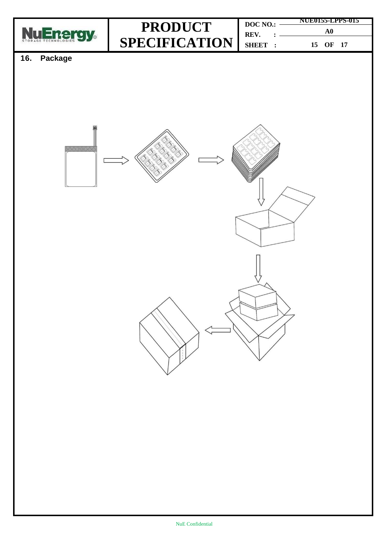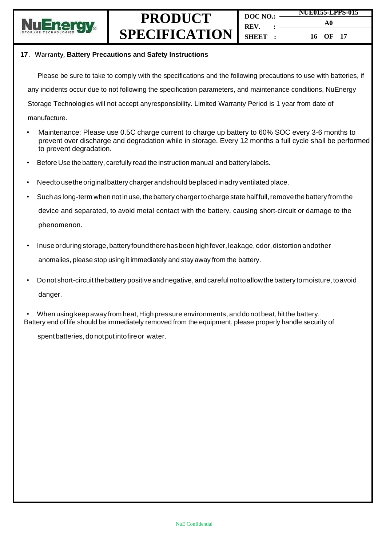

| C NO.: |  | <b>NUE0155-LPPS-015</b> |
|--------|--|-------------------------|
| V.     |  | A0                      |
| EET 3  |  | 16 OF 17                |

#### **17**.**Warranty, Battery Precautions and Safety Instructions**

Please be sure to take to comply with the specifications and the following precautions to use with batteries, if any incidents occur due to not following the specification parameters, and maintenance conditions, NuEnergy Storage Technologies will not accept anyresponsibility. Limited Warranty Period is 1 year from date of manufacture.

- Maintenance: Please use 0.5C charge current to charge up battery to 60% SOC every 3-6 months to prevent over discharge and degradation while in storage. Every 12 months a full cycle shall be performed to prevent degradation.
- Before Use the battery, carefully read the instruction manual and battery labels.
- Needto usetheoriginalbattery charger andshould beplacedinadry ventilatedplace.
- Such as long-term when not in use, the battery charger to charge state halffull, remove the battery from the device and separated, to avoid metal contact with the battery, causing short-circuit or damage to the phenomenon.
- Inuse orduring storage, battery found there has been high fever, leakage, odor, distortion andother anomalies, please stop using it immediately and stay away from the battery.
- Donot short-circuitthebattery positive andnegative, andcareful nottoallowthe battery tomoisture, toavoid danger.

When using keep away from heat, High pressure environments, and do not beat, hit the battery. Battery end of life should be immediately removed from the equipment, please properly handle security of

spent batteries, do notput intofireor water.